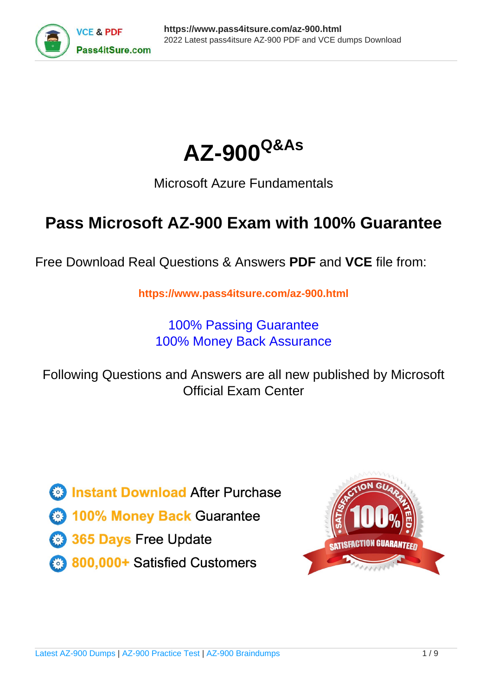



## Microsoft Azure Fundamentals

## **Pass Microsoft AZ-900 Exam with 100% Guarantee**

Free Download Real Questions & Answers **PDF** and **VCE** file from:

**https://www.pass4itsure.com/az-900.html**

100% Passing Guarantee 100% Money Back Assurance

Following Questions and Answers are all new published by Microsoft Official Exam Center

**C** Instant Download After Purchase

**83 100% Money Back Guarantee** 

- 365 Days Free Update
- 800,000+ Satisfied Customers  $\epsilon$  of

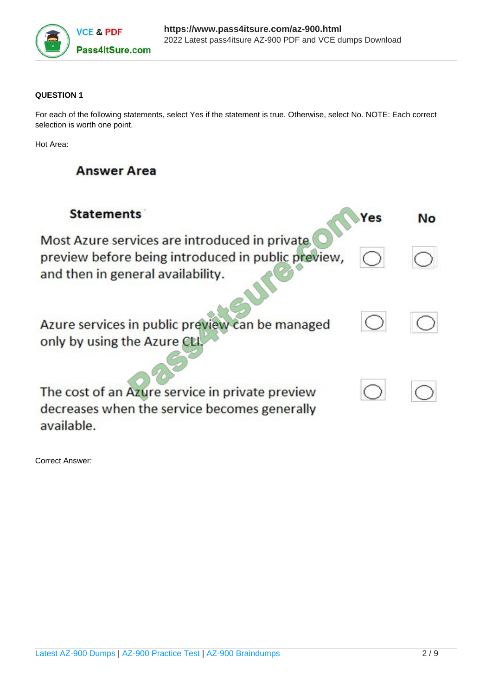

#### **QUESTION 1**

For each of the following statements, select Yes if the statement is true. Otherwise, select No. NOTE: Each correct selection is worth one point.

Hot Area:

## **Answer Area**

| <b>Statements</b>                                                                                                                         | Yes | No |
|-------------------------------------------------------------------------------------------------------------------------------------------|-----|----|
| Most Azure services are introduced in private.<br>preview before being introduced in public preview,<br>and then in general availability. |     |    |
| Azure services in public preview can be managed<br>only by using the Azure CLI                                                            |     |    |
| The cost of an Azure service in private preview<br>decreases when the service becomes generally<br>available.                             |     |    |

Correct Answer: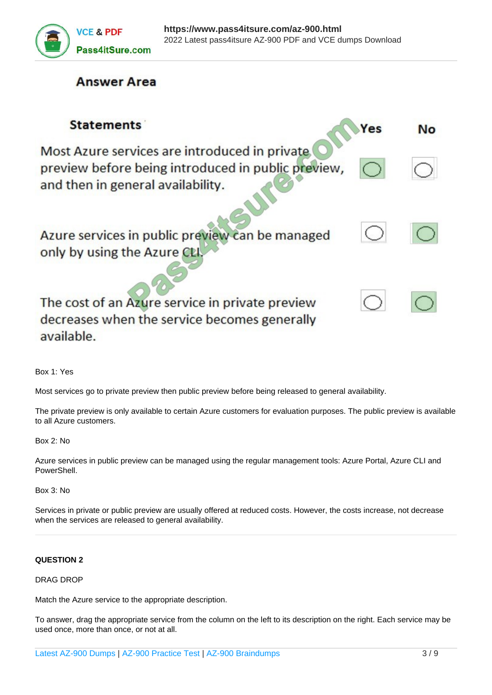

### **Answer Area**

| <b>Statements</b>                                                                                                                        | Yes | Nο |
|------------------------------------------------------------------------------------------------------------------------------------------|-----|----|
| Most Azure services are introduced in private<br>preview before being introduced in public preview,<br>and then in general availability. |     |    |
| Azure services in public preview can be managed<br>only by using the Azure CLI                                                           |     |    |
| The cost of an Azure service in private preview<br>decreases when the service becomes generally<br>available.                            |     |    |

Box 1: Yes

Most services go to private preview then public preview before being released to general availability.

The private preview is only available to certain Azure customers for evaluation purposes. The public preview is available to all Azure customers.

Box 2: No

Azure services in public preview can be managed using the regular management tools: Azure Portal, Azure CLI and PowerShell.

Box 3: No

Services in private or public preview are usually offered at reduced costs. However, the costs increase, not decrease when the services are released to general availability.

#### **QUESTION 2**

#### DRAG DROP

Match the Azure service to the appropriate description.

To answer, drag the appropriate service from the column on the left to its description on the right. Each service may be used once, more than once, or not at all.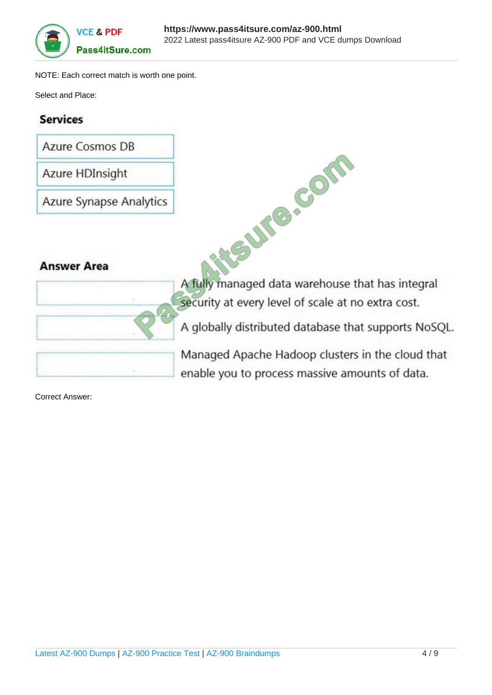

NOTE: Each correct match is worth one point.

Select and Place:

## **Services**

**Azure Cosmos DB** 

Azure HDInsight

**Azure Synapse Analytics** 

## **Answer Area**

| <b>Tin Al</b> |  |
|---------------|--|
|               |  |
|               |  |

**ANSWERP COMPANY** A fully managed data warehouse that has integral security at every level of scale at no extra cost.

A globally distributed database that supports NoSQL.

Managed Apache Hadoop clusters in the cloud that enable you to process massive amounts of data.

Correct Answer: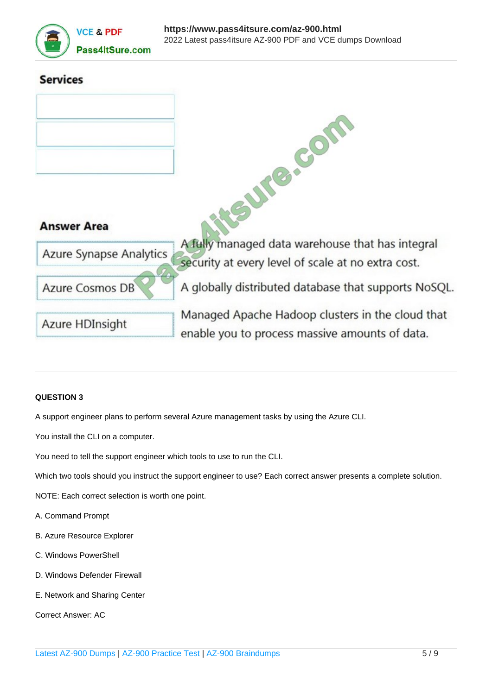

# **Services ECOL Answer Area** A fully managed data warehouse that has integral **Azure Synapse Analytics** security at every level of scale at no extra cost. A globally distributed database that supports NoSQL. **Azure Cosmos DB** Managed Apache Hadoop clusters in the cloud that Azure HDInsight enable you to process massive amounts of data.

#### **QUESTION 3**

A support engineer plans to perform several Azure management tasks by using the Azure CLI.

You install the CLI on a computer.

You need to tell the support engineer which tools to use to run the CLI.

Which two tools should you instruct the support engineer to use? Each correct answer presents a complete solution.

NOTE: Each correct selection is worth one point.

- A. Command Prompt
- B. Azure Resource Explorer
- C. Windows PowerShell
- D. Windows Defender Firewall
- E. Network and Sharing Center

Correct Answer: AC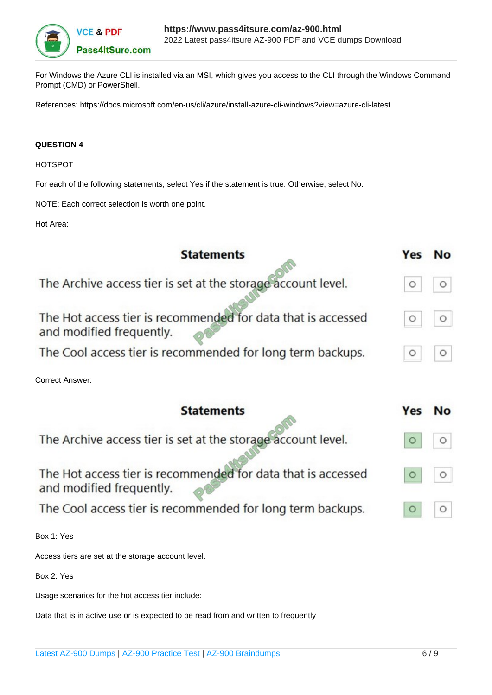

For Windows the Azure CLI is installed via an MSI, which gives you access to the CLI through the Windows Command Prompt (CMD) or PowerShell.

References: https://docs.microsoft.com/en-us/cli/azure/install-azure-cli-windows?view=azure-cli-latest

#### **QUESTION 4**

HOTSPOT

For each of the following statements, select Yes if the statement is true. Otherwise, select No.

NOTE: Each correct selection is worth one point.

Hot Area:

| <b>Statements</b>                                                                        | Yes | <b>No</b> |
|------------------------------------------------------------------------------------------|-----|-----------|
| The Archive access tier is set at the storage account level.                             |     | $\circ$   |
| The Hot access tier is recommended for data that is accessed<br>and modified frequently. | O   | $\circ$   |
| The Cool access tier is recommended for long term backups.                               |     | О         |
| <b>Correct Answer:</b>                                                                   |     |           |
| <b>Statements</b>                                                                        | Yes | <b>No</b> |
| The Archive access tier is set at the storage account level.                             |     | O         |
| The Hot access tier is recommended for data that is accessed<br>and modified frequently. |     | $\circ$   |
| The Cool access tier is recommended for long term backups.                               |     | O         |
| Box 1: Yes                                                                               |     |           |
| Access tiers are set at the storage account level.                                       |     |           |
| Box 2: Yes                                                                               |     |           |
| Usage scenarios for the hot access tier include:                                         |     |           |

Data that is in active use or is expected to be read from and written to frequently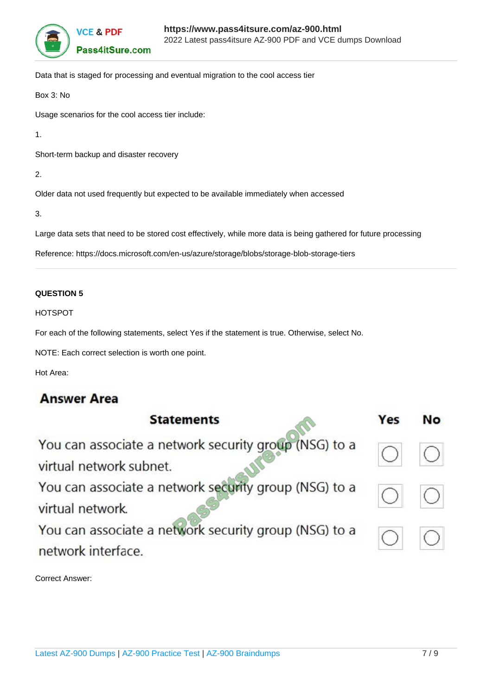

Data that is staged for processing and eventual migration to the cool access tier

Box 3: No

Usage scenarios for the cool access tier include:

1.

Short-term backup and disaster recovery

2.

Older data not used frequently but expected to be available immediately when accessed

3.

Large data sets that need to be stored cost effectively, while more data is being gathered for future processing

Reference: https://docs.microsoft.com/en-us/azure/storage/blobs/storage-blob-storage-tiers

#### **QUESTION 5**

HOTSPOT

For each of the following statements, select Yes if the statement is true. Otherwise, select No.

NOTE: Each correct selection is worth one point.

Hot Area:

## **Answer Area**

| <b>Statements</b>                                                                | Yes | No |
|----------------------------------------------------------------------------------|-----|----|
| You can associate a network security group (NSG) to a<br>virtual network subnet. |     |    |
| You can associate a network security group (NSG) to a<br>virtual network.        |     |    |
| You can associate a network security group (NSG) to a<br>network interface.      |     |    |

Correct Answer: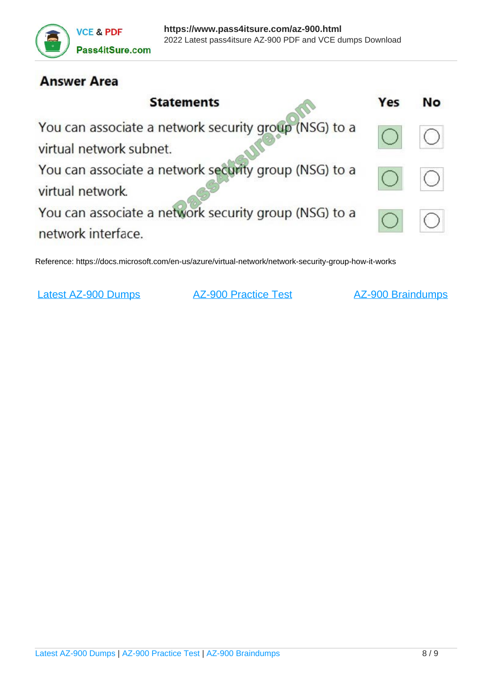

## **Answer Area**

| <b>Statements</b>                                                                | Yes | No |
|----------------------------------------------------------------------------------|-----|----|
| You can associate a network security group (NSG) to a<br>virtual network subnet. |     |    |
| You can associate a network security group (NSG) to a<br>virtual network.        |     |    |
| You can associate a network security group (NSG) to a<br>network interface.      |     |    |

Reference: https://docs.microsoft.com/en-us/azure/virtual-network/network-security-group-how-it-works

[Latest AZ-900 Dumps](https://www.pass4itsure.com/az-900.html) [AZ-900 Practice Test](https://www.pass4itsure.com/az-900.html) [AZ-900 Braindumps](https://www.pass4itsure.com/az-900.html)